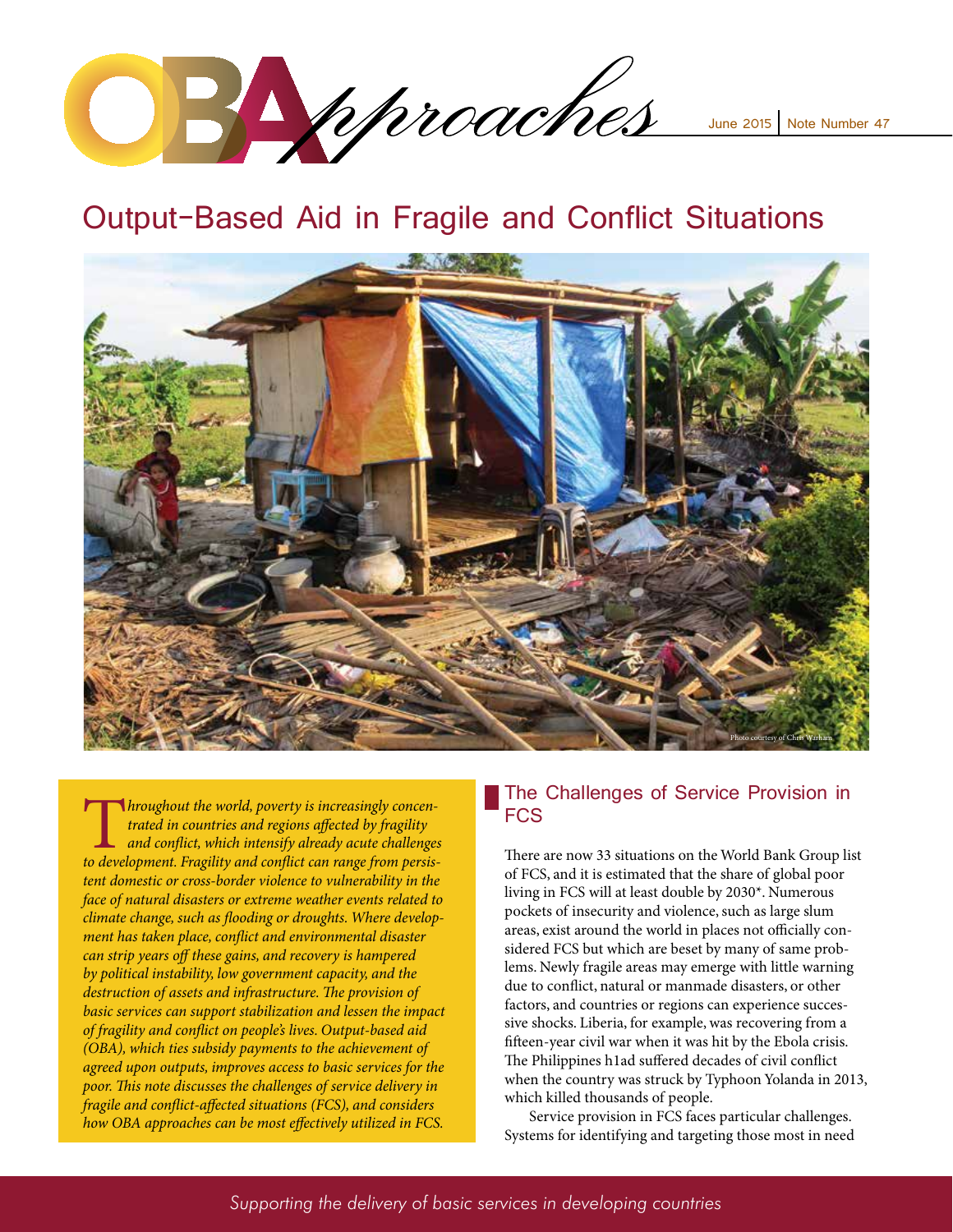Phiroaches

# Output-Based Aid in Fragile and Conflict Situations



T*hroughout the world, poverty is increasingly concentrated in countries and regions affected by fragility and conflict, which intensify already acute challenges to development. Fragility and conflict can range from persistent domestic or cross-border violence to vulnerability in the face of natural disasters or extreme weather events related to climate change, such as flooding or droughts. Where development has taken place, conflict and environmental disaster can strip years off these gains, and recovery is hampered by political instability, low government capacity, and the destruction of assets and infrastructure. The provision of basic services can support stabilization and lessen the impact of fragility and conflict on people's lives. Output-based aid (OBA), which ties subsidy payments to the achievement of agreed upon outputs, improves access to basic services for the poor. This note discusses the challenges of service delivery in fragile and conflict-affected situations (FCS), and considers how OBA approaches can be most effectively utilized in FCS.*

## The Challenges of Service Provision in **FCS**

There are now 33 situations on the World Bank Group list of FCS, and it is estimated that the share of global poor living in FCS will at least double by 2030\*. Numerous pockets of insecurity and violence, such as large slum areas, exist around the world in places not officially considered FCS but which are beset by many of same problems. Newly fragile areas may emerge with little warning due to conflict, natural or manmade disasters, or other factors, and countries or regions can experience successive shocks. Liberia, for example, was recovering from a fifteen-year civil war when it was hit by the Ebola crisis. The Philippines h1ad suffered decades of civil conflict when the country was struck by Typhoon Yolanda in 2013, which killed thousands of people.

 Service provision in FCS faces particular challenges. Systems for identifying and targeting those most in need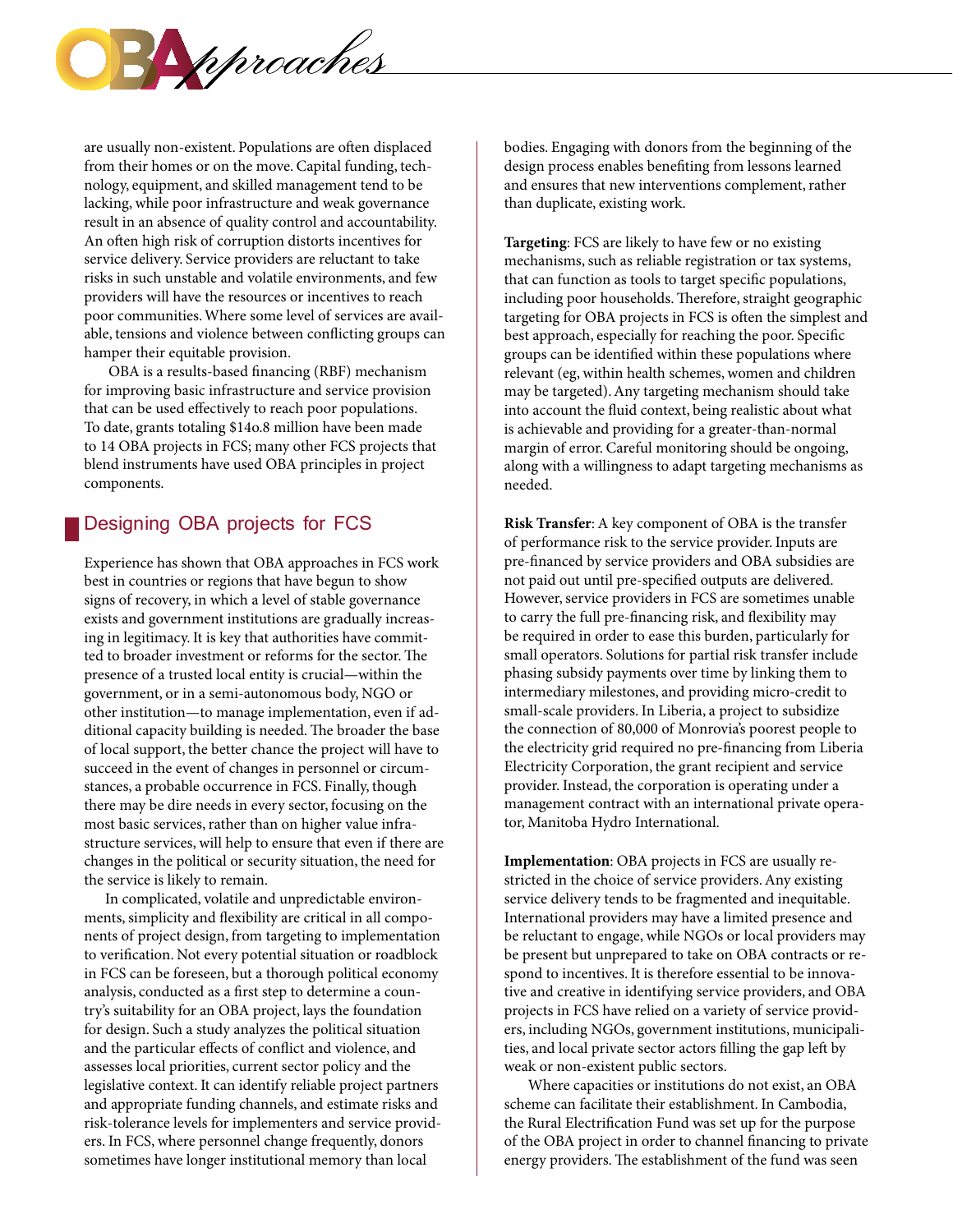

are usually non-existent. Populations are often displaced from their homes or on the move. Capital funding, technology, equipment, and skilled management tend to be lacking, while poor infrastructure and weak governance result in an absence of quality control and accountability. An often high risk of corruption distorts incentives for service delivery. Service providers are reluctant to take risks in such unstable and volatile environments, and few providers will have the resources or incentives to reach poor communities. Where some level of services are available, tensions and violence between conflicting groups can hamper their equitable provision.

 OBA is a results-based financing (RBF) mechanism for improving basic infrastructure and service provision that can be used effectively to reach poor populations. To date, grants totaling \$14o.8 million have been made to 14 OBA projects in FCS; many other FCS projects that blend instruments have used OBA principles in project components.

### Designing OBA projects for FCS

Experience has shown that OBA approaches in FCS work best in countries or regions that have begun to show signs of recovery, in which a level of stable governance exists and government institutions are gradually increasing in legitimacy. It is key that authorities have committed to broader investment or reforms for the sector. The presence of a trusted local entity is crucial—within the government, or in a semi-autonomous body, NGO or other institution—to manage implementation, even if additional capacity building is needed. The broader the base of local support, the better chance the project will have to succeed in the event of changes in personnel or circumstances, a probable occurrence in FCS. Finally, though there may be dire needs in every sector, focusing on the most basic services, rather than on higher value infrastructure services, will help to ensure that even if there are changes in the political or security situation, the need for the service is likely to remain.

In complicated, volatile and unpredictable environments, simplicity and flexibility are critical in all components of project design, from targeting to implementation to verification. Not every potential situation or roadblock in FCS can be foreseen, but a thorough political economy analysis, conducted as a first step to determine a country's suitability for an OBA project, lays the foundation for design. Such a study analyzes the political situation and the particular effects of conflict and violence, and assesses local priorities, current sector policy and the legislative context. It can identify reliable project partners and appropriate funding channels, and estimate risks and risk-tolerance levels for implementers and service providers. In FCS, where personnel change frequently, donors sometimes have longer institutional memory than local

bodies. Engaging with donors from the beginning of the design process enables benefiting from lessons learned and ensures that new interventions complement, rather than duplicate, existing work.

**Targeting**: FCS are likely to have few or no existing mechanisms, such as reliable registration or tax systems, that can function as tools to target specific populations, including poor households. Therefore, straight geographic targeting for OBA projects in FCS is often the simplest and best approach, especially for reaching the poor. Specific groups can be identified within these populations where relevant (eg, within health schemes, women and children may be targeted). Any targeting mechanism should take into account the fluid context, being realistic about what is achievable and providing for a greater-than-normal margin of error. Careful monitoring should be ongoing, along with a willingness to adapt targeting mechanisms as needed.

**Risk Transfer**: A key component of OBA is the transfer of performance risk to the service provider. Inputs are pre-financed by service providers and OBA subsidies are not paid out until pre-specified outputs are delivered. However, service providers in FCS are sometimes unable to carry the full pre-financing risk, and flexibility may be required in order to ease this burden, particularly for small operators. Solutions for partial risk transfer include phasing subsidy payments over time by linking them to intermediary milestones, and providing micro-credit to small-scale providers. In Liberia, a project to subsidize the connection of 80,000 of Monrovia's poorest people to the electricity grid required no pre-financing from Liberia Electricity Corporation, the grant recipient and service provider. Instead, the corporation is operating under a management contract with an international private operator, Manitoba Hydro International.

**Implementation**: OBA projects in FCS are usually restricted in the choice of service providers. Any existing service delivery tends to be fragmented and inequitable. International providers may have a limited presence and be reluctant to engage, while NGOs or local providers may be present but unprepared to take on OBA contracts or respond to incentives. It is therefore essential to be innovative and creative in identifying service providers, and OBA projects in FCS have relied on a variety of service providers, including NGOs, government institutions, municipalities, and local private sector actors filling the gap left by weak or non-existent public sectors.

 Where capacities or institutions do not exist, an OBA scheme can facilitate their establishment. In Cambodia, the Rural Electrification Fund was set up for the purpose of the OBA project in order to channel financing to private energy providers. The establishment of the fund was seen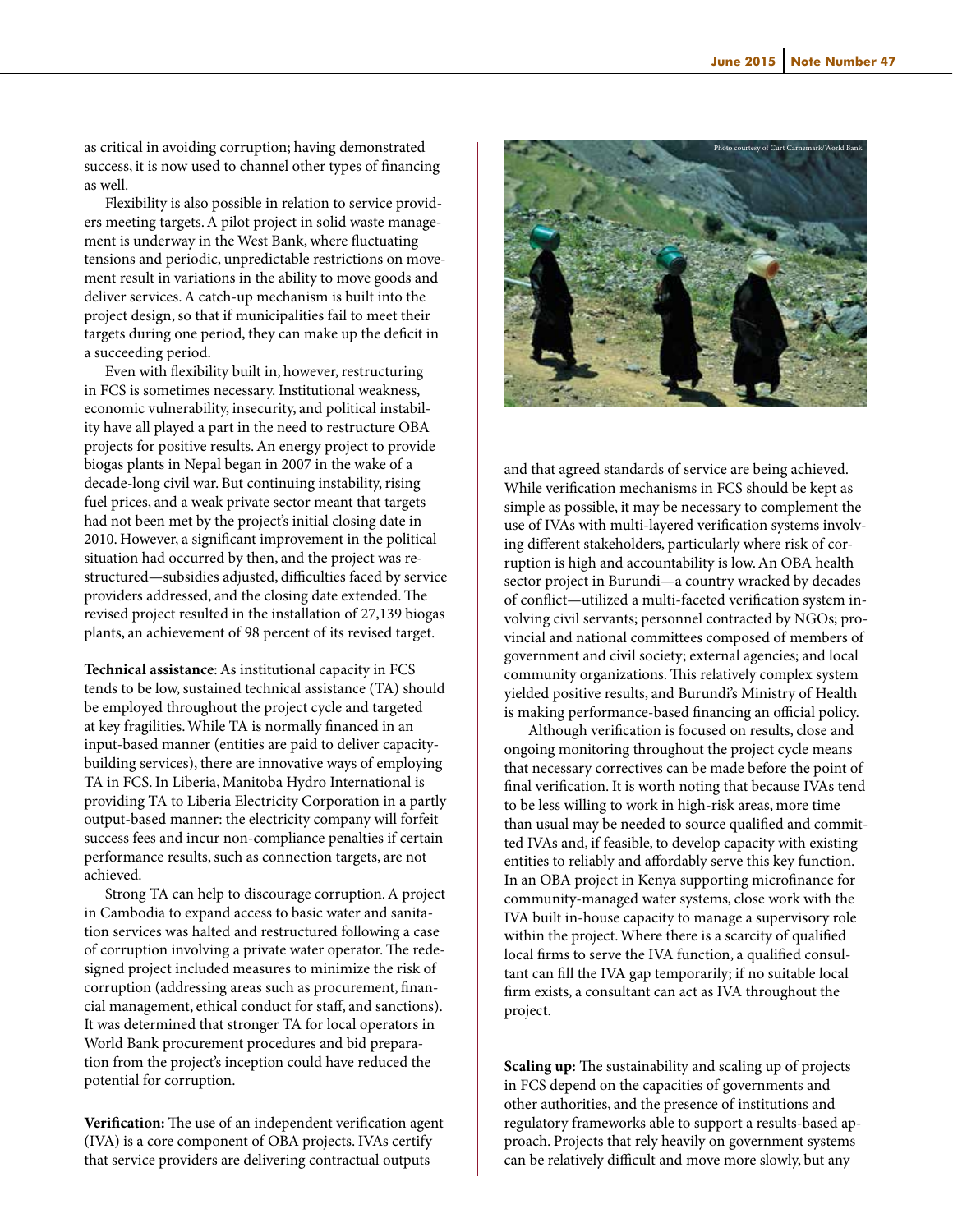as critical in avoiding corruption; having demonstrated success, it is now used to channel other types of financing as well.

Flexibility is also possible in relation to service providers meeting targets. A pilot project in solid waste management is underway in the West Bank, where fluctuating tensions and periodic, unpredictable restrictions on movement result in variations in the ability to move goods and deliver services. A catch-up mechanism is built into the project design, so that if municipalities fail to meet their targets during one period, they can make up the deficit in a succeeding period.

Even with flexibility built in, however, restructuring in FCS is sometimes necessary. Institutional weakness, economic vulnerability, insecurity, and political instability have all played a part in the need to restructure OBA projects for positive results. An energy project to provide biogas plants in Nepal began in 2007 in the wake of a decade-long civil war. But continuing instability, rising fuel prices, and a weak private sector meant that targets had not been met by the project's initial closing date in 2010. However, a significant improvement in the political situation had occurred by then, and the project was restructured—subsidies adjusted, difficulties faced by service providers addressed, and the closing date extended. The revised project resulted in the installation of 27,139 biogas plants, an achievement of 98 percent of its revised target.

**Technical assistance**: As institutional capacity in FCS tends to be low, sustained technical assistance (TA) should be employed throughout the project cycle and targeted at key fragilities. While TA is normally financed in an input-based manner (entities are paid to deliver capacitybuilding services), there are innovative ways of employing TA in FCS. In Liberia, Manitoba Hydro International is providing TA to Liberia Electricity Corporation in a partly output-based manner: the electricity company will forfeit success fees and incur non-compliance penalties if certain performance results, such as connection targets, are not achieved.

Strong TA can help to discourage corruption. A project in Cambodia to expand access to basic water and sanitation services was halted and restructured following a case of corruption involving a private water operator. The redesigned project included measures to minimize the risk of corruption (addressing areas such as procurement, financial management, ethical conduct for staff, and sanctions). It was determined that stronger TA for local operators in World Bank procurement procedures and bid preparation from the project's inception could have reduced the potential for corruption.

**Verification:** The use of an independent verification agent (IVA) is a core component of OBA projects. IVAs certify that service providers are delivering contractual outputs



and that agreed standards of service are being achieved. While verification mechanisms in FCS should be kept as simple as possible, it may be necessary to complement the use of IVAs with multi-layered verification systems involving different stakeholders, particularly where risk of corruption is high and accountability is low. An OBA health sector project in Burundi—a country wracked by decades of conflict—utilized a multi-faceted verification system involving civil servants; personnel contracted by NGOs; provincial and national committees composed of members of government and civil society; external agencies; and local community organizations. This relatively complex system yielded positive results, and Burundi's Ministry of Health is making performance-based financing an official policy.

 Although verification is focused on results, close and ongoing monitoring throughout the project cycle means that necessary correctives can be made before the point of final verification. It is worth noting that because IVAs tend to be less willing to work in high-risk areas, more time than usual may be needed to source qualified and committed IVAs and, if feasible, to develop capacity with existing entities to reliably and affordably serve this key function. In an OBA project in Kenya supporting microfinance for community-managed water systems, close work with the IVA built in-house capacity to manage a supervisory role within the project. Where there is a scarcity of qualified local firms to serve the IVA function, a qualified consultant can fill the IVA gap temporarily; if no suitable local firm exists, a consultant can act as IVA throughout the project.

**Scaling up:** The sustainability and scaling up of projects in FCS depend on the capacities of governments and other authorities, and the presence of institutions and regulatory frameworks able to support a results-based approach. Projects that rely heavily on government systems can be relatively difficult and move more slowly, but any